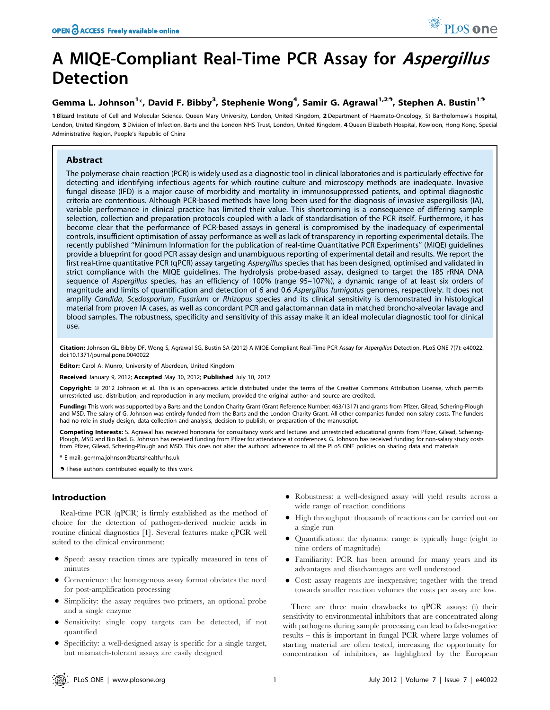# A MIQE-Compliant Real-Time PCR Assay for Aspergillus Detection

# Gemma L. Johnson<sup>1</sup>\*, David F. Bibby<sup>3</sup>, Stephenie Wong<sup>4</sup>, Samir G. Agrawal<sup>1,29</sup>, Stephen A. Bustin<sup>19</sup>

1 Blizard Institute of Cell and Molecular Science, Queen Mary University, London, United Kingdom, 2 Department of Haemato-Oncology, St Bartholomew's Hospital, London, United Kingdom, 3Division of Infection, Barts and the London NHS Trust, London, United Kingdom, 4Queen Elizabeth Hospital, Kowloon, Hong Kong, Special Administrative Region, People's Republic of China

# Abstract

The polymerase chain reaction (PCR) is widely used as a diagnostic tool in clinical laboratories and is particularly effective for detecting and identifying infectious agents for which routine culture and microscopy methods are inadequate. Invasive fungal disease (IFD) is a major cause of morbidity and mortality in immunosuppressed patients, and optimal diagnostic criteria are contentious. Although PCR-based methods have long been used for the diagnosis of invasive aspergillosis (IA), variable performance in clinical practice has limited their value. This shortcoming is a consequence of differing sample selection, collection and preparation protocols coupled with a lack of standardisation of the PCR itself. Furthermore, it has become clear that the performance of PCR-based assays in general is compromised by the inadequacy of experimental controls, insufficient optimisation of assay performance as well as lack of transparency in reporting experimental details. The recently published ''Minimum Information for the publication of real-time Quantitative PCR Experiments'' (MIQE) guidelines provide a blueprint for good PCR assay design and unambiguous reporting of experimental detail and results. We report the first real-time quantitative PCR (qPCR) assay targeting Aspergillus species that has been designed, optimised and validated in strict compliance with the MIQE guidelines. The hydrolysis probe-based assay, designed to target the 18S rRNA DNA sequence of Aspergillus species, has an efficiency of 100% (range 95–107%), a dynamic range of at least six orders of magnitude and limits of quantification and detection of 6 and 0.6 Aspergillus fumigatus genomes, respectively. It does not amplify Candida, Scedosporium, Fusarium or Rhizopus species and its clinical sensitivity is demonstrated in histological material from proven IA cases, as well as concordant PCR and galactomannan data in matched broncho-alveolar lavage and blood samples. The robustness, specificity and sensitivity of this assay make it an ideal molecular diagnostic tool for clinical use.

Citation: Johnson GL, Bibby DF, Wong S, Agrawal SG, Bustin SA (2012) A MIQE-Compliant Real-Time PCR Assay for Aspergillus Detection. PLoS ONE 7(7): e40022. doi:10.1371/journal.pone.0040022

Editor: Carol A. Munro, University of Aberdeen, United Kingdom

Received January 9, 2012; Accepted May 30, 2012; Published July 10, 2012

**Copyright:** © 2012 Johnson et al. This is an open-access article distributed under the terms of the Creative Commons Attribution License, which permits unrestricted use, distribution, and reproduction in any medium, provided the original author and source are credited.

Funding: This work was supported by a Barts and the London Charity Grant (Grant Reference Number: 463/1317) and grants from Pfizer, Gilead, Schering-Plough and MSD. The salary of G. Johnson was entirely funded from the Barts and the London Charity Grant. All other companies funded non-salary costs. The funders had no role in study design, data collection and analysis, decision to publish, or preparation of the manuscript.

Competing Interests: S. Agrawal has received honoraria for consultancy work and lectures and unrestricted educational grants from Pfizer, Gilead, Schering-Plough, MSD and Bio Rad. G. Johnson has received funding from Pfizer for attendance at conferences. G. Johnson has received funding for non-salary study costs from Pfizer, Gilead, Schering-Plough and MSD. This does not alter the authors' adherence to all the PLoS ONE policies on sharing data and materials.

\* E-mail: gemma.johnson@bartshealth.nhs.uk

. These authors contributed equally to this work.

# Introduction

Real-time PCR (qPCR) is firmly established as the method of choice for the detection of pathogen-derived nucleic acids in routine clinical diagnostics [1]. Several features make qPCR well suited to the clinical environment:

- N Speed: assay reaction times are typically measured in tens of minutes
- N Convenience: the homogenous assay format obviates the need for post-amplification processing
- N Simplicity: the assay requires two primers, an optional probe and a single enzyme
- N Sensitivity: single copy targets can be detected, if not quantified
- Specificity: a well-designed assay is specific for a single target, but mismatch-tolerant assays are easily designed
- N Robustness: a well-designed assay will yield results across a wide range of reaction conditions
- N High throughput: thousands of reactions can be carried out on a single run
- Quantification: the dynamic range is typically huge (eight to nine orders of magnitude)
- N Familiarity: PCR has been around for many years and its advantages and disadvantages are well understood
- N Cost: assay reagents are inexpensive; together with the trend towards smaller reaction volumes the costs per assay are low.

There are three main drawbacks to qPCR assays: (i) their sensitivity to environmental inhibitors that are concentrated along with pathogens during sample processing can lead to false-negative results – this is important in fungal PCR where large volumes of starting material are often tested, increasing the opportunity for concentration of inhibitors, as highlighted by the European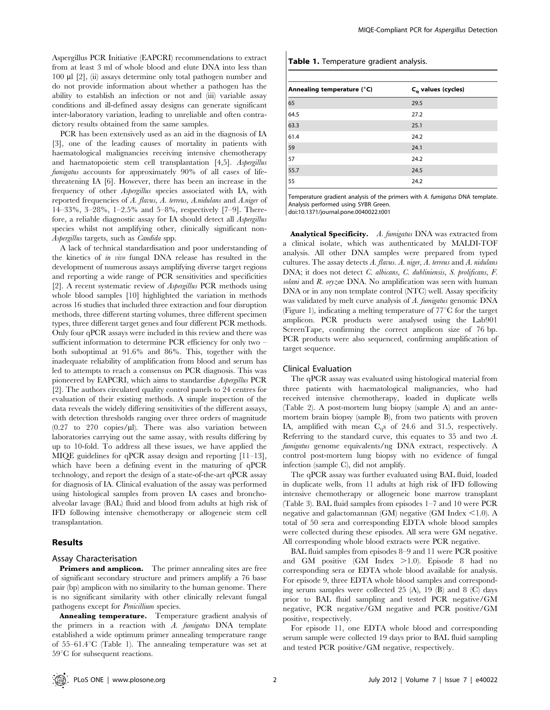Aspergillus PCR Initiative (EAPCRI) recommendations to extract from at least 3 ml of whole blood and elute DNA into less than 100 ml [2], (ii) assays determine only total pathogen number and do not provide information about whether a pathogen has the ability to establish an infection or not and (iii) variable assay conditions and ill-defined assay designs can generate significant inter-laboratory variation, leading to unreliable and often contradictory results obtained from the same samples.

PCR has been extensively used as an aid in the diagnosis of IA [3], one of the leading causes of mortality in patients with haematological malignancies receiving intensive chemotherapy and haematopoietic stem cell transplantation [4,5]. Aspergillus fumigatus accounts for approximately 90% of all cases of lifethreatening IA [6]. However, there has been an increase in the frequency of other Aspergillus species associated with IA, with reported frequencies of A. flavus, A. terreus, A.nidulans and A.niger of 14–33%, 3–28%, 1–2.5% and 5–8%, respectively [7–9]. Therefore, a reliable diagnostic assay for IA should detect all Aspergillus species whilst not amplifying other, clinically significant non-Aspergillus targets, such as Candida spp.

A lack of technical standardisation and poor understanding of the kinetics of in vivo fungal DNA release has resulted in the development of numerous assays amplifying diverse target regions and reporting a wide range of PCR sensitivities and specificities [2]. A recent systematic review of Aspergillus PCR methods using whole blood samples [10] highlighted the variation in methods across 16 studies that included three extraction and four disruption methods, three different starting volumes, three different specimen types, three different target genes and four different PCR methods. Only four qPCR assays were included in this review and there was sufficient information to determine PCR efficiency for only two – both suboptimal at 91.6% and 86%. This, together with the inadequate reliability of amplification from blood and serum has led to attempts to reach a consensus on PCR diagnosis. This was pioneered by EAPCRI, which aims to standardise Aspergillus PCR [2]. The authors circulated quality control panels to 24 centres for evaluation of their existing methods. A simple inspection of the data reveals the widely differing sensitivities of the different assays, with detection thresholds ranging over three orders of magnitude  $(0.27 \text{ to } 270 \text{ copies/}\mu\text{l})$ . There was also variation between laboratories carrying out the same assay, with results differing by up to 10-fold. To address all these issues, we have applied the MIQE guidelines for qPCR assay design and reporting [11–13], which have been a defining event in the maturing of qPCR technology, and report the design of a state-of-the-art qPCR assay for diagnosis of IA. Clinical evaluation of the assay was performed using histological samples from proven IA cases and bronchoalveolar lavage (BAL) fluid and blood from adults at high risk of IFD following intensive chemotherapy or allogeneic stem cell transplantation.

# Results

#### Assay Characterisation

Primers and amplicon. The primer annealing sites are free of significant secondary structure and primers amplify a 76 base pair (bp) amplicon with no similarity to the human genome. There is no significant similarity with other clinically relevant fungal pathogens except for Penicillium species.

Annealing temperature. Temperature gradient analysis of the primers in a reaction with  $A$ . fumigatus DNA template established a wide optimum primer annealing temperature range of  $55-61.4$ °C (Table 1). The annealing temperature was set at  $59^{\circ}$ C for subsequent reactions.

#### Table 1. Temperature gradient analysis.

| Annealing temperature (°C) | $C_{q}$ values (cycles) |
|----------------------------|-------------------------|
| 65                         | 29.5                    |
| 64.5                       | 27.2                    |
| 63.3                       | 25.1                    |
| 61.4                       | 24.2                    |
| 59                         | 24.1                    |
| 57                         | 24.2                    |
| 55.7                       | 24.5                    |
| 55                         | 24.2                    |

Temperature gradient analysis of the primers with A. fumigatus DNA template. Analysis performed using SYBR Green.

doi:10.1371/journal.pone.0040022.t001

Analytical Specificity. A. fumigatus DNA was extracted from a clinical isolate, which was authenticated by MALDI-TOF analysis. All other DNA samples were prepared from typed cultures. The assay detects A. flavus. A. niger, A. terreus and A. nidulans DNA; it does not detect C. albicans, C. dubliniensis, S. prolificans, F. solani and R. oryzae DNA. No amplification was seen with human DNA or in any non template control (NTC) well. Assay specificity was validated by melt curve analysis of A. fumigatus genomic DNA (Figure 1), indicating a melting temperature of  $77^{\circ}$ C for the target amplicon. PCR products were analysed using the Lab901 ScreenTape, confirming the correct amplicon size of 76 bp. PCR products were also sequenced, confirming amplification of target sequence.

## Clinical Evaluation

The qPCR assay was evaluated using histological material from three patients with haematological malignancies, who had received intensive chemotherapy, loaded in duplicate wells (Table 2). A post-mortem lung biopsy (sample A) and an antemortem brain biopsy (sample B), from two patients with proven IA, amplified with mean Cqs of 24.6 and 31.5, respectively. Referring to the standard curve, this equates to 35 and two A. fumigatus genome equivalents/ng DNA extract, respectively. A control post-mortem lung biopsy with no evidence of fungal infection (sample C), did not amplify.

The qPCR assay was further evaluated using BAL fluid, loaded in duplicate wells, from 11 adults at high risk of IFD following intensive chemotherapy or allogeneic bone marrow transplant (Table 3). BAL fluid samples from episodes 1–7 and 10 were PCR negative and galactomannan (GM) negative (GM Index  $\leq$  1.0). A total of 50 sera and corresponding EDTA whole blood samples were collected during these episodes. All sera were GM negative. All corresponding whole blood extracts were PCR negative.

BAL fluid samples from episodes 8–9 and 11 were PCR positive and GM positive  $(GM \cdot \text{Index} > 1.0)$ . Episode 8 had no corresponding sera or EDTA whole blood available for analysis. For episode 9, three EDTA whole blood samples and corresponding serum samples were collected 25 (A), 19 (B) and 8 (C) days prior to BAL fluid sampling and tested PCR negative/GM negative, PCR negative/GM negative and PCR positive/GM positive, respectively.

For episode 11, one EDTA whole blood and corresponding serum sample were collected 19 days prior to BAL fluid sampling and tested PCR positive/GM negative, respectively.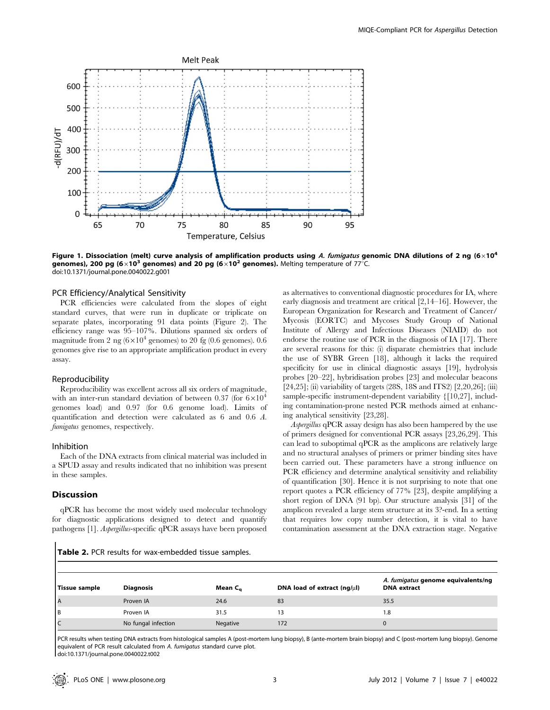

Figure 1. Dissociation (melt) curve analysis of amplification products using A. fumigatus genomic DNA dilutions of 2 ng (6×10<sup>4</sup>) genomes), 200 pg (6×10<sup>3</sup> genomes) and 20 pg (6×10<sup>2</sup> genomes). Melting temperature of 77<sup>°</sup>C. doi:10.1371/journal.pone.0040022.g001

# PCR Efficiency/Analytical Sensitivity

PCR efficiencies were calculated from the slopes of eight standard curves, that were run in duplicate or triplicate on separate plates, incorporating 91 data points (Figure 2). The efficiency range was 95–107%. Dilutions spanned six orders of magnitude from 2 ng  $(6\times10^4$  genomes) to 20 fg (0.6 genomes). 0.6 genomes give rise to an appropriate amplification product in every assay.

#### Reproducibility

Reproducibility was excellent across all six orders of magnitude, with an inter-run standard deviation of between 0.37 (for  $6\times10^4$ genomes load) and 0.97 (for 0.6 genome load). Limits of quantification and detection were calculated as 6 and 0.6 A. fumigatus genomes, respectively.

## Inhibition

Each of the DNA extracts from clinical material was included in a SPUD assay and results indicated that no inhibition was present in these samples.

# **Discussion**

qPCR has become the most widely used molecular technology for diagnostic applications designed to detect and quantify pathogens [1]. Aspergillus-specific qPCR assays have been proposed as alternatives to conventional diagnostic procedures for IA, where early diagnosis and treatment are critical [2,14–16]. However, the European Organization for Research and Treatment of Cancer/ Mycosis (EORTC) and Mycoses Study Group of National Institute of Allergy and Infectious Diseases (NIAID) do not endorse the routine use of PCR in the diagnosis of IA [17]. There are several reasons for this: (i) disparate chemistries that include the use of SYBR Green [18], although it lacks the required specificity for use in clinical diagnostic assays [19], hydrolysis probes [20–22], hybridisation probes [23] and molecular beacons [24,25]; (ii) variability of targets (28S, 18S and ITS2) [2,20,26]; (iii) sample-specific instrument-dependent variability {[10,27], including contamination-prone nested PCR methods aimed at enhancing analytical sensitivity [23,28].

Aspergillus qPCR assay design has also been hampered by the use of primers designed for conventional PCR assays [23,26,29]. This can lead to suboptimal qPCR as the amplicons are relatively large and no structural analyses of primers or primer binding sites have been carried out. These parameters have a strong influence on PCR efficiency and determine analytical sensitivity and reliability of quantification [30]. Hence it is not surprising to note that one report quotes a PCR efficiency of 77% [23], despite amplifying a short region of DNA (91 bp). Our structure analysis [31] of the amplicon revealed a large stem structure at its 3?-end. In a setting that requires low copy number detection, it is vital to have contamination assessment at the DNA extraction stage. Negative

Table 2. PCR results for wax-embedded tissue samples.

| Tissue sample | <b>Diagnosis</b>    | Mean C <sub>a</sub> | DNA load of extract $(ng/\mu l)$ | A. fumigatus genome equivalents/ng<br><b>DNA</b> extract |
|---------------|---------------------|---------------------|----------------------------------|----------------------------------------------------------|
| I A           | Proven IA           | 24.6                | 83                               | 35.5                                                     |
| Iв            | Proven IA           | 31.5                | 13                               | 1.8                                                      |
| lc            | No fungal infection | Negative            | 172                              | $\Omega$                                                 |

PCR results when testing DNA extracts from histological samples A (post-mortem lung biopsy), B (ante-mortem brain biopsy) and C (post-mortem lung biopsy). Genome equivalent of PCR result calculated from A. fumigatus standard curve plot.

doi:10.1371/journal.pone.0040022.t002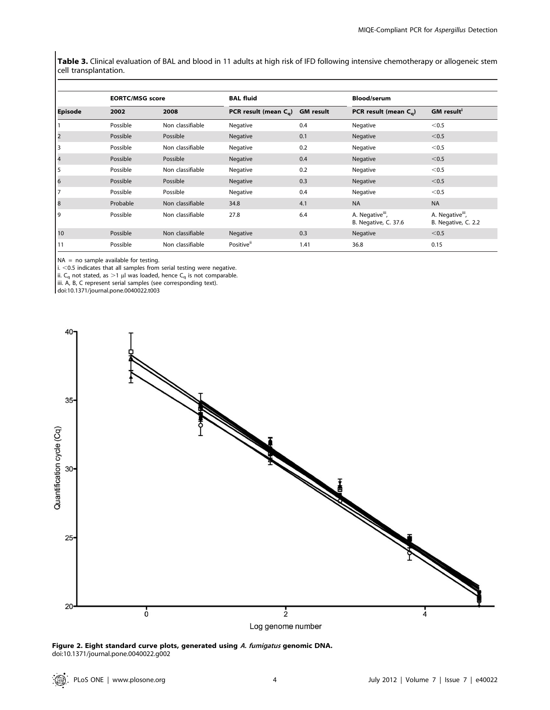Table 3. Clinical evaluation of BAL and blood in 11 adults at high risk of IFD following intensive chemotherapy or allogeneic stem cell transplantation.

|                         | <b>EORTC/MSG score</b> |                  | <b>BAL fluid</b>                     |      |                                                      | <b>Blood/serum</b>                                  |  |
|-------------------------|------------------------|------------------|--------------------------------------|------|------------------------------------------------------|-----------------------------------------------------|--|
| <b>Episode</b>          | 2002                   | 2008             | PCR result (mean $C_{q}$ ) GM result |      | PCR result (mean $C_{\alpha}$ )                      | <b>GM</b> result <sup>i</sup>                       |  |
|                         | Possible               | Non classifiable | Negative                             | 0.4  | Negative                                             | < 0.5                                               |  |
| $\overline{\mathbf{c}}$ | Possible               | Possible         | Negative                             | 0.1  | Negative                                             | < 0.5                                               |  |
| 3                       | Possible               | Non classifiable | Negative                             | 0.2  | Negative                                             | $0.5$                                               |  |
| $\overline{4}$          | Possible               | Possible         | Negative                             | 0.4  | Negative                                             | < 0.5                                               |  |
| 5                       | Possible               | Non classifiable | Negative                             | 0.2  | Negative                                             | $0.5$                                               |  |
| 6                       | Possible               | Possible         | Negative                             | 0.3  | Negative                                             | < 0.5                                               |  |
| 7                       | Possible               | Possible         | Negative                             | 0.4  | Negative                                             | < 0.5                                               |  |
| 8                       | Probable               | Non classifiable | 34.8                                 | 4.1  | <b>NA</b>                                            | <b>NA</b>                                           |  |
| 9                       | Possible               | Non classifiable | 27.8                                 | 6.4  | A. Negative <sup>iii</sup> ,<br>B. Negative, C. 37.6 | A. Negative <sup>iii</sup> ,<br>B. Negative, C. 2.2 |  |
| 10                      | Possible               | Non classifiable | Negative                             | 0.3  | Negative                                             | < 0.5                                               |  |
| 11                      | Possible               | Non classifiable | Positive <sup>ii</sup>               | 1.41 | 36.8                                                 | 0.15                                                |  |

NA = no sample available for testing.

i.  $<$  0.5 indicates that all samples from serial testing were negative.

ii. C<sub>q</sub> not stated, as >1 µl was loaded, hence C<sub>q</sub> is not comparable.

iii. A, B, C represent serial samples (see corresponding text).

doi:10.1371/journal.pone.0040022.t003



Figure 2. Eight standard curve plots, generated using A. fumigatus genomic DNA. doi:10.1371/journal.pone.0040022.g002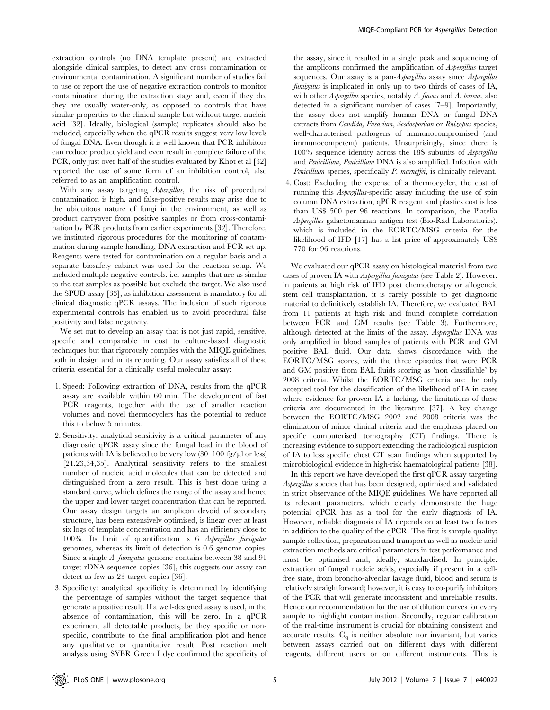extraction controls (no DNA template present) are extracted alongside clinical samples, to detect any cross contamination or environmental contamination. A significant number of studies fail to use or report the use of negative extraction controls to monitor contamination during the extraction stage and, even if they do, they are usually water-only, as opposed to controls that have similar properties to the clinical sample but without target nucleic acid [32]. Ideally, biological (sample) replicates should also be included, especially when the qPCR results suggest very low levels of fungal DNA. Even though it is well known that PCR inhibitors can reduce product yield and even result in complete failure of the PCR, only just over half of the studies evaluated by Khot et al [32] reported the use of some form of an inhibition control, also referred to as an amplification control.

With any assay targeting Aspergillus, the risk of procedural contamination is high, and false-positive results may arise due to the ubiquitous nature of fungi in the environment, as well as product carryover from positive samples or from cross-contamination by PCR products from earlier experiments [32]. Therefore, we instituted rigorous procedures for the monitoring of contamination during sample handling, DNA extraction and PCR set up. Reagents were tested for contamination on a regular basis and a separate biosafety cabinet was used for the reaction setup. We included multiple negative controls, i.e. samples that are as similar to the test samples as possible but exclude the target. We also used the SPUD assay [33], as inhibition assessment is mandatory for all clinical diagnostic qPCR assays. The inclusion of such rigorous experimental controls has enabled us to avoid procedural false positivity and false negativity.

We set out to develop an assay that is not just rapid, sensitive, specific and comparable in cost to culture-based diagnostic techniques but that rigorously complies with the MIQE guidelines, both in design and in its reporting. Our assay satisfies all of these criteria essential for a clinically useful molecular assay:

- 1. Speed: Following extraction of DNA, results from the qPCR assay are available within 60 min. The development of fast PCR reagents, together with the use of smaller reaction volumes and novel thermocyclers has the potential to reduce this to below 5 minutes.
- 2. Sensitivity: analytical sensitivity is a critical parameter of any diagnostic qPCR assay since the fungal load in the blood of patients with IA is believed to be very low  $(30-100 \text{ fg/}\mu\text{J})$  or less) [21,23,34,35]. Analytical sensitivity refers to the smallest number of nucleic acid molecules that can be detected and distinguished from a zero result. This is best done using a standard curve, which defines the range of the assay and hence the upper and lower target concentration that can be reported. Our assay design targets an amplicon devoid of secondary structure, has been extensively optimised, is linear over at least six logs of template concentration and has an efficiency close to 100%. Its limit of quantification is 6 Aspergillus fumigatus genomes, whereas its limit of detection is 0.6 genome copies. Since a single A. fumigatus genome contains between 38 and 91 target rDNA sequence copies [36], this suggests our assay can detect as few as 23 target copies [36].
- 3. Specificity: analytical specificity is determined by identifying the percentage of samples without the target sequence that generate a positive result. If a well-designed assay is used, in the absence of contamination, this will be zero. In a qPCR experiment all detectable products, be they specific or nonspecific, contribute to the final amplification plot and hence any qualitative or quantitative result. Post reaction melt analysis using SYBR Green I dye confirmed the specificity of

the assay, since it resulted in a single peak and sequencing of the amplicons confirmed the amplification of Aspergillus target sequences. Our assay is a pan-Aspergillus assay since Aspergillus fumigatus is implicated in only up to two thirds of cases of IA, with other *Aspergillus* species, notably *A. flavus* and *A. terreus*, also detected in a significant number of cases [7–9]. Importantly, the assay does not amplify human DNA or fungal DNA extracts from Candida, Fusarium, Scedosporium or Rhizopus species, well-characterised pathogens of immunocompromised (and immunocompetent) patients. Unsurprisingly, since there is 100% sequence identity across the 18S subunits of Aspergillus and Penicillium, Penicillium DNA is also amplified. Infection with Penicillium species, specifically P. marneffei, is clinically relevant.

4. Cost: Excluding the expense of a thermocycler, the cost of running this Aspergillus-specific assay including the use of spin column DNA extraction, qPCR reagent and plastics cost is less than US\$ 500 per 96 reactions. In comparison, the Platelia Aspergillus galactomannan antigen test (Bio-Rad Laboratories), which is included in the EORTC/MSG criteria for the likelihood of IFD [17] has a list price of approximately US\$ 770 for 96 reactions.

We evaluated our qPCR assay on histological material from two cases of proven IA with Aspergillus fumigatus (see Table 2). However, in patients at high risk of IFD post chemotherapy or allogeneic stem cell transplantation, it is rarely possible to get diagnostic material to definitively establish IA. Therefore, we evaluated BAL from 11 patients at high risk and found complete correlation between PCR and GM results (see Table 3). Furthermore, although detected at the limits of the assay, Aspergillus DNA was only amplified in blood samples of patients with PCR and GM positive BAL fluid. Our data shows discordance with the EORTC/MSG scores, with the three episodes that were PCR and GM positive from BAL fluids scoring as 'non classifiable' by 2008 criteria. Whilst the EORTC/MSG criteria are the only accepted tool for the classification of the likelihood of IA in cases where evidence for proven IA is lacking, the limitations of these criteria are documented in the literature [37]. A key change between the EORTC/MSG 2002 and 2008 criteria was the elimination of minor clinical criteria and the emphasis placed on specific computerised tomography (CT) findings. There is increasing evidence to support extending the radiological suspicion of IA to less specific chest CT scan findings when supported by microbiological evidence in high-risk haematological patients [38].

In this report we have developed the first qPCR assay targeting Aspergillus species that has been designed, optimised and validated in strict observance of the MIQE guidelines. We have reported all its relevant parameters, which clearly demonstrate the huge potential qPCR has as a tool for the early diagnosis of IA. However, reliable diagnosis of IA depends on at least two factors in addition to the quality of the qPCR. The first is sample quality: sample collection, preparation and transport as well as nucleic acid extraction methods are critical parameters in test performance and must be optimised and, ideally, standardised. In principle, extraction of fungal nucleic acids, especially if present in a cellfree state, from broncho-alveolar lavage fluid, blood and serum is relatively straightforward; however, it is easy to co-purify inhibitors of the PCR that will generate inconsistent and unreliable results. Hence our recommendation for the use of dilution curves for every sample to highlight contamination. Secondly, regular calibration of the real-time instrument is crucial for obtaining consistent and accurate results.  $C_q$  is neither absolute nor invariant, but varies between assays carried out on different days with different reagents, different users or on different instruments. This is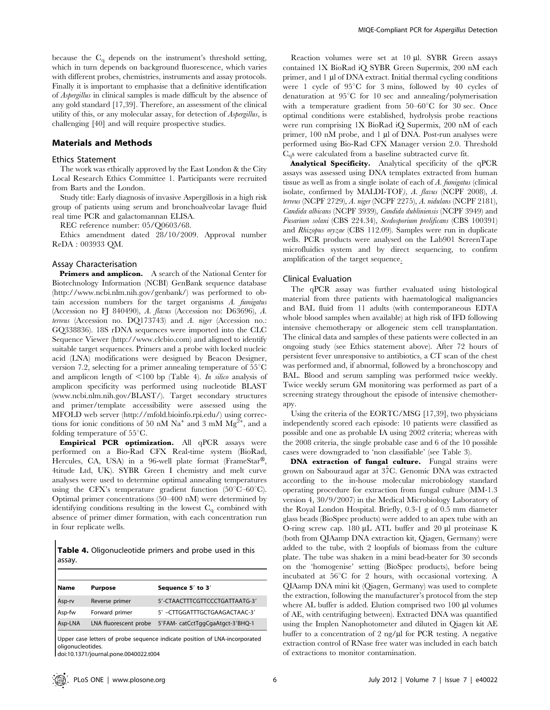because the  $C_q$  depends on the instrument's threshold setting, which in turn depends on background fluorescence, which varies with different probes, chemistries, instruments and assay protocols. Finally it is important to emphasise that a definitive identification of Aspergillus in clinical samples is made difficult by the absence of any gold standard [17,39]. Therefore, an assessment of the clinical utility of this, or any molecular assay, for detection of Aspergillus, is challenging [40] and will require prospective studies.

# Materials and Methods

# Ethics Statement

The work was ethically approved by the East London & the City Local Research Ethics Committee 1. Participants were recruited from Barts and the London.

Study title: Early diagnosis of invasive Aspergillosis in a high risk group of patients using serum and bronchoalveolar lavage fluid real time PCR and galactomannan ELISA.

REC reference number: 05/Q0603/68.

Ethics amendment dated 28/10/2009. Approval number ReDA : 003933 QM.

#### Assay Characterisation

Primers and amplicon. A search of the National Center for Biotechnology Information (NCBI) GenBank sequence database (http://www.ncbi.nlm.nih.gov/genbank/) was performed to obtain accession numbers for the target organisms A. fumigatus (Accession no FJ 840490), A. flavus (Accession no: D63696), A. terreus (Accession no. DQ173743) and A. niger (Accession no.: GQ338836). 18S rDNA sequences were imported into the CLC Sequence Viewer (http://www.clcbio.com) and aligned to identify suitable target sequences. Primers and a probe with locked nucleic acid (LNA) modifications were designed by Beacon Designer, version 7.2, selecting for a primer annealing temperature of  $55^{\circ}$ C and amplicon length of  $\leq 100$  bp (Table 4). In silico analysis of amplicon specificity was performed using nucleotide BLAST (www.ncbi.nlm.nih.gov/BLAST/). Target secondary structures and primer/template accessibility were assessed using the MFOLD web server (http://mfold.bioinfo.rpi.edu/) using corrections for ionic conditions of 50 nM Na<sup>+</sup> and 3 mM Mg<sup>2+</sup>, and a folding temperature of  $55^{\circ}$ C.

Empirical PCR optimization. All qPCR assays were performed on a Bio-Rad CFX Real-time system (BioRad, Hercules, CA, USA) in a 96-well plate format (FrameStar®, 4titude Ltd, UK). SYBR Green I chemistry and melt curve analyses were used to determine optimal annealing temperatures using the CFX's temperature gradient function  $(50^{\circ}C-60^{\circ}C)$ . Optimal primer concentrations (50–400 nM) were determined by identifying conditions resulting in the lowest  $C_q$  combined with absence of primer dimer formation, with each concentration run in four replicate wells.

Table 4. Oligonucleotide primers and probe used in this assay.

| Name    | Purpose        | Sequence 5' to 3'                                      |
|---------|----------------|--------------------------------------------------------|
| Asp-rv  | Reverse primer | 5'-CTAACTTTCGTTCCCTGATTAATG-3'                         |
| Asp-fw  | Forward primer | 5' -CTTGGATTTGCTGAAGACTAAC-3'                          |
| Asp-LNA |                | LNA fluorescent probe 5'FAM- catCctTggCgaAtgct-3'BHQ-1 |

Upper case letters of probe sequence indicate position of LNA-incorporated oligonucleotides.

doi:10.1371/journal.pone.0040022.t004

Reaction volumes were set at 10 µl. SYBR Green assays contained 1X BioRad iQ SYBR Green Supermix, 200 nM each primer, and  $1 \mu$  of DNA extract. Initial thermal cycling conditions were 1 cycle of  $95^{\circ}$ C for 3 mins, followed by 40 cycles of denaturation at  $95^{\circ}$ C for 10 sec and annealing/polymerisation with a temperature gradient from  $50-60^{\circ}\text{C}$  for 30 sec. Once optimal conditions were established, hydrolysis probe reactions were run comprising 1X BioRad iQ Supermix, 200 nM of each primer,  $100 \text{ nM}$  probe, and  $1 \text{ µl}$  of DNA. Post-run analyses were performed using Bio-Rad CFX Manager version 2.0. Threshold  $C_{\alpha}$ s were calculated from a baseline subtracted curve fit.

Analytical Specificity. Analytical specificity of the qPCR assays was assessed using DNA templates extracted from human tissue as well as from a single isolate of each of A. fumigatus (clinical isolate, confirmed by MALDI-TOF), A. flavus (NCPF 2008), A. terreus (NCPF 2729), A. niger (NCPF 2275), A. nidulans (NCPF 2181), Candida albicans (NCPF 3939), Candida dubliniensis (NCPF 3949) and Fusarium solani (CBS 224.34), Scedosporium prolificans (CBS 100391) and Rhizopus oryzae (CBS 112.09). Samples were run in duplicate wells. PCR products were analysed on the Lab901 ScreenTape microfluidics system and by direct sequencing, to confirm amplification of the target sequence.

## Clinical Evaluation

The qPCR assay was further evaluated using histological material from three patients with haematological malignancies and BAL fluid from 11 adults (with contemporaneous EDTA whole blood samples when available) at high risk of IFD following intensive chemotherapy or allogeneic stem cell transplantation. The clinical data and samples of these patients were collected in an ongoing study (see Ethics statement above). After 72 hours of persistent fever unresponsive to antibiotics, a CT scan of the chest was performed and, if abnormal, followed by a bronchoscopy and BAL. Blood and serum sampling was performed twice weekly. Twice weekly serum GM monitoring was performed as part of a screening strategy throughout the episode of intensive chemotherapy.

Using the criteria of the EORTC/MSG [17,39], two physicians independently scored each episode: 10 patients were classified as possible and one as probable IA using 2002 criteria; whereas with the 2008 criteria, the single probable case and 6 of the 10 possible cases were downgraded to 'non classifiable' (see Table 3).

DNA extraction of fungal culture. Fungal strains were grown on Sabouraud agar at 37˚C. Genomic DNA was extracted according to the in-house molecular microbiology standard operating procedure for extraction from fungal culture (MM-1.3 version 4, 30/9/2007) in the Medical Microbiology Laboratory of the Royal London Hospital. Briefly, 0.3-1 g of 0.5 mm diameter glass beads (BioSpec products) were added to an apex tube with an O-ring screw cap. 180 µL ATL buffer and 20 µl proteinase K (both from QIAamp DNA extraction kit, Qiagen, Germany) were added to the tube, with 2 loopfuls of biomass from the culture plate. The tube was shaken in a mini bead-beater for 30 seconds on the 'homogenise' setting (BioSpec products), before being incubated at  $56^{\circ}$ C for 2 hours, with occasional vortexing. A QIAamp DNA mini kit (Qiagen, Germany) was used to complete the extraction, following the manufacturer's protocol from the step where AL buffer is added. Elution comprised two 100 µl volumes of AE, with centrifuging between). Extracted DNA was quantified using the Implen Nanophotometer and diluted in Qiagen kit AE buffer to a concentration of 2 ng/ $\mu$ l for PCR testing. A negative extraction control of RNase free water was included in each batch of extractions to monitor contamination.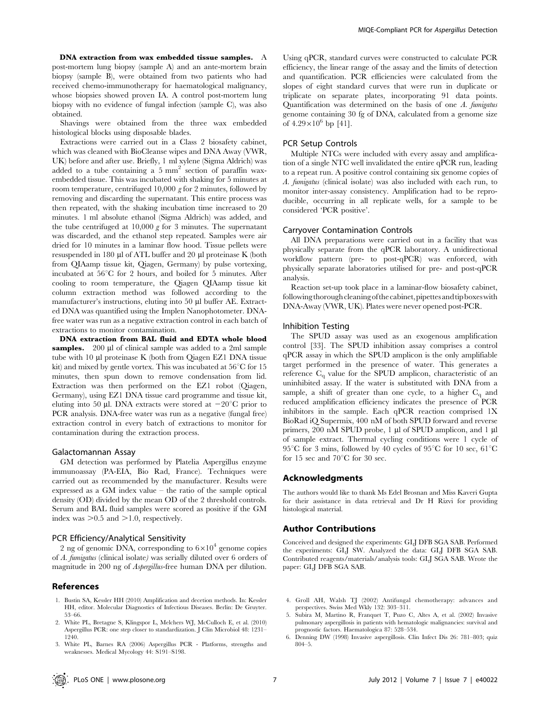DNA extraction from wax embedded tissue samples. A post-mortem lung biopsy (sample A) and an ante-mortem brain biopsy (sample B), were obtained from two patients who had received chemo-immunotherapy for haematological malignancy, whose biopsies showed proven IA. A control post-mortem lung biopsy with no evidence of fungal infection (sample C), was also obtained.

Shavings were obtained from the three wax embedded histological blocks using disposable blades.

Extractions were carried out in a Class 2 biosafety cabinet, which was cleaned with BioCleanse wipes and DNA Away (VWR, UK) before and after use. Briefly, 1 ml xylene (Sigma Aldrich) was added to a tube containing a  $5 \text{ mm}^2$  section of paraffin waxembedded tissue. This was incubated with shaking for 5 minutes at room temperature, centrifuged 10,000 g for 2 minutes, followed by removing and discarding the supernatant. This entire process was then repeated, with the shaking incubation time increased to 20 minutes. 1 ml absolute ethanol (Sigma Aldrich) was added, and the tube centrifuged at 10,000  $g$  for 3 minutes. The supernatant was discarded, and the ethanol step repeated. Samples were air dried for 10 minutes in a laminar flow hood. Tissue pellets were resuspended in 180 µl of ATL buffer and 20 µl proteinase K (both from QIAamp tissue kit, Qiagen, Germany) by pulse vortexing, incubated at  $56^{\circ}$ C for 2 hours, and boiled for 5 minutes. After cooling to room temperature, the Qiagen QIAamp tissue kit column extraction method was followed according to the manufacturer's instructions, eluting into 50 µl buffer AE. Extracted DNA was quantified using the Implen Nanophotometer. DNAfree water was run as a negative extraction control in each batch of extractions to monitor contamination.

DNA extraction from BAL fluid and EDTA whole blood samples. 200 µl of clinical sample was added to a 2ml sample tube with  $10 \mu l$  proteinase K (both from Qiagen EZ1 DNA tissue kit) and mixed by gentle vortex. This was incubated at  $56^{\circ}$ C for 15 minutes, then spun down to remove condensation from lid. Extraction was then performed on the EZ1 robot (Qiagen, Germany), using EZ1 DNA tissue card programme and tissue kit, eluting into 50 µl. DNA extracts were stored at  $-20^{\circ}$ C prior to PCR analysis. DNA-free water was run as a negative (fungal free) extraction control in every batch of extractions to monitor for contamination during the extraction process.

#### Galactomannan Assay

GM detection was performed by Platelia Aspergillus enzyme immunoassay (PA-EIA, Bio Rad, France). Techniques were carried out as recommended by the manufacturer. Results were expressed as a GM index value – the ratio of the sample optical density (OD) divided by the mean OD of the 2 threshold controls. Serum and BAL fluid samples were scored as positive if the GM index was  $>0.5$  and  $>1.0$ , respectively.

## PCR Efficiency/Analytical Sensitivity

2 ng of genomic DNA, corresponding to  $6 \times 10^4$  genome copies of A. fumigatus (clinical isolate) was serially diluted over 6 orders of magnitude in 200 ng of Aspergillus-free human DNA per dilution.

# References

- 1. Bustin SA, Kessler HH (2010) Amplification and decetion methods. In: Kessler HH, editor. Molecular Diagnostics of Infectious Diseases. Berlin: De Gruyter. 53–66.
- 2. White PL, Bretagne S, Klingspor L, Melchers WJ, McCulloch E, et al. (2010) Aspergillus PCR: one step closer to standardization. J Clin Microbiol 48: 1231– 1240.

Using qPCR, standard curves were constructed to calculate PCR efficiency, the linear range of the assay and the limits of detection and quantification. PCR efficiencies were calculated from the slopes of eight standard curves that were run in duplicate or triplicate on separate plates, incorporating 91 data points. Quantification was determined on the basis of one  $A$ . fumigatus genome containing 30 fg of DNA, calculated from a genome size of  $4.29 \times 10^6$  bp [41].

## PCR Setup Controls

Multiple NTCs were included with every assay and amplification of a single NTC well invalidated the entire qPCR run, leading to a repeat run. A positive control containing six genome copies of A. fumigatus (clinical isolate) was also included with each run, to monitor inter-assay consistency. Amplification had to be reproducible, occurring in all replicate wells, for a sample to be considered 'PCR positive'.

## Carryover Contamination Controls

All DNA preparations were carried out in a facility that was physically separate from the qPCR laboratory. A unidirectional workflow pattern (pre- to post-qPCR) was enforced, with physically separate laboratories utilised for pre- and post-qPCR analysis.

Reaction set-up took place in a laminar-flow biosafety cabinet, following thorough cleaning of the cabinet, pipettes and tipboxes with DNA-Away (VWR, UK). Plates were never opened post-PCR.

## Inhibition Testing

The SPUD assay was used as an exogenous amplification control [33]. The SPUD inhibition assay comprises a control qPCR assay in which the SPUD amplicon is the only amplifiable target performed in the presence of water. This generates a reference C<sub>q</sub> value for the SPUD amplicon, characteristic of an uninhibited assay. If the water is substituted with DNA from a sample, a shift of greater than one cycle, to a higher  $C_q$  and reduced amplification efficiency indicates the presence of PCR inhibitors in the sample. Each qPCR reaction comprised 1X BioRad iQ Supermix, 400 nM of both SPUD forward and reverse primers, 200 nM SPUD probe, 1 µl of SPUD amplicon, and 1 µl of sample extract. Thermal cycling conditions were 1 cycle of 95<sup>°</sup>C for 3 mins, followed by 40 cycles of 95<sup>°</sup>C for 10 sec, 61<sup>°</sup>C for 15 sec and 70 $^{\circ}$ C for 30 sec.

# Acknowledgments

The authors would like to thank Ms Edel Brosnan and Miss Kaveri Gupta for their assistance in data retrieval and Dr H Rizvi for providing histological material.

# Author Contributions

Conceived and designed the experiments: GLJ DFB SGA SAB. Performed the experiments: GLJ SW. Analyzed the data: GLJ DFB SGA SAB. Contributed reagents/materials/analysis tools: GLJ SGA SAB. Wrote the paper: GLJ DFB SGA SAB.

- 4. Groll AH, Walsh TJ (2002) Antifungal chemotherapy: advances and perspectives. Swiss Med Wkly 132: 303–311.
- 5. Subira M, Martino R, Franquet T, Puzo C, Altes A, et al. (2002) Invasive pulmonary aspergillosis in patients with hematologic malignancies: survival and prognostic factors. Haematologica 87: 528–534.
- 6. Denning DW (1998) Invasive aspergillosis. Clin Infect Dis 26: 781–803; quiz 804–5.